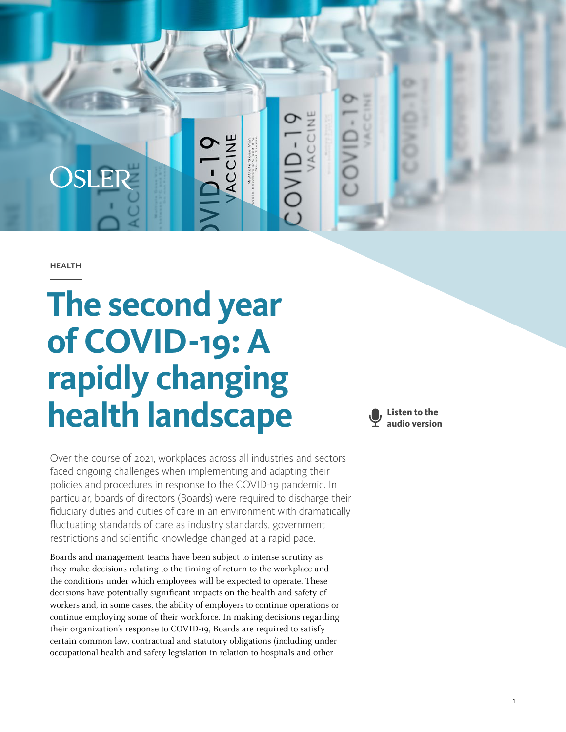

**HEALTH** 

# **The second year of COVID-19: A rapidly changing health landscape**

Over the course of 2021, workplaces across all industries and sectors faced ongoing challenges when implementing and adapting their policies and procedures in response to the COVID-19 pandemic. In particular, boards of directors (Boards) were required to discharge their fiduciary duties and duties of care in an environment with dramatically fluctuating standards of care as industry standards, government restrictions and scientific knowledge changed at a rapid pace.

Boards and management teams have been subject to intense scrutiny as they make decisions relating to the timing of return to the workplace and the conditions under which employees will be expected to operate. These decisions have potentially significant impacts on the health and safety of workers and, in some cases, the ability of employers to continue operations or continue employing some of their workforce. In making decisions regarding their organization's response to COVID-19, Boards are required to satisfy certain common law, contractual and statutory obligations (including under occupational health and safety legislation in relation to hospitals and other

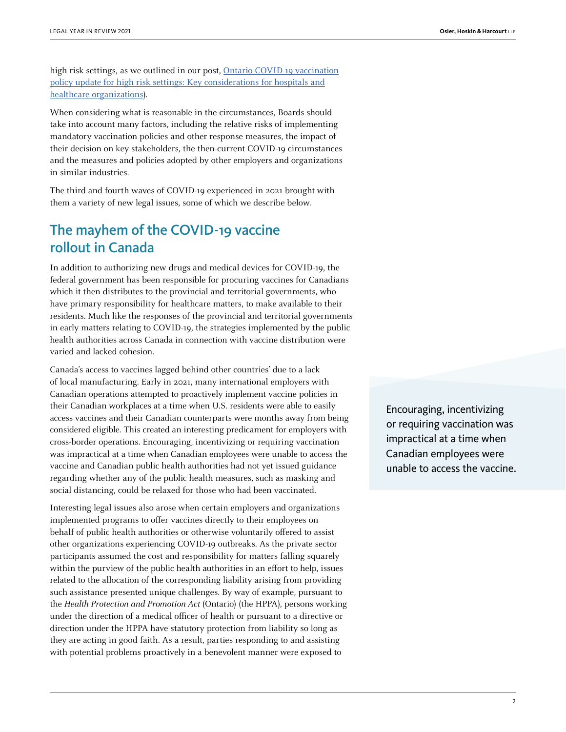high risk settings, as we outlined in our post, [Ontario COVID-19 vaccination](https://www.osler.com/en/resources/regulations/2021/ontario-covid-19-vaccination-policy-update-for-high-risk-settings-key-considerations-for-hospitals) [policy update for high risk settings: Key considerations for hospitals and](https://www.osler.com/en/resources/regulations/2021/ontario-covid-19-vaccination-policy-update-for-high-risk-settings-key-considerations-for-hospitals) [healthcare organizations\)](https://www.osler.com/en/resources/regulations/2021/ontario-covid-19-vaccination-policy-update-for-high-risk-settings-key-considerations-for-hospitals).

When considering what is reasonable in the circumstances, Boards should take into account many factors, including the relative risks of implementing mandatory vaccination policies and other response measures, the impact of their decision on key stakeholders, the then-current COVID-19 circumstances and the measures and policies adopted by other employers and organizations in similar industries.

The third and fourth waves of COVID-19 experienced in 2021 brought with them a variety of new legal issues, some of which we describe below.

### The mayhem of the COVID-19 vaccine rollout in Canada

In addition to authorizing new drugs and medical devices for COVID-19, the federal government has been responsible for procuring vaccines for Canadians which it then distributes to the provincial and territorial governments, who have primary responsibility for healthcare matters, to make available to their residents. Much like the responses of the provincial and territorial governments in early matters relating to COVID-19, the strategies implemented by the public health authorities across Canada in connection with vaccine distribution were varied and lacked cohesion.

Canada's access to vaccines lagged behind other countries' due to a lack of local manufacturing. Early in 2021, many international employers with Canadian operations attempted to proactively implement vaccine policies in their Canadian workplaces at a time when U.S. residents were able to easily access vaccines and their Canadian counterparts were months away from being considered eligible. This created an interesting predicament for employers with cross-border operations. Encouraging, incentivizing or requiring vaccination was impractical at a time when Canadian employees were unable to access the vaccine and Canadian public health authorities had not yet issued guidance regarding whether any of the public health measures, such as masking and social distancing, could be relaxed for those who had been vaccinated.

Interesting legal issues also arose when certain employers and organizations implemented programs to offer vaccines directly to their employees on behalf of public health authorities or otherwise voluntarily offered to assist other organizations experiencing COVID-19 outbreaks. As the private sector participants assumed the cost and responsibility for matters falling squarely within the purview of the public health authorities in an effort to help, issues related to the allocation of the corresponding liability arising from providing such assistance presented unique challenges. By way of example, pursuant to the Health Protection and Promotion Act (Ontario) (the HPPA), persons working under the direction of a medical officer of health or pursuant to a directive or direction under the HPPA have statutory protection from liability so long as they are acting in good faith. As a result, parties responding to and assisting with potential problems proactively in a benevolent manner were exposed to

Encouraging, incentivizing or requiring vaccination was impractical at a time when Canadian employees were unable to access the vaccine.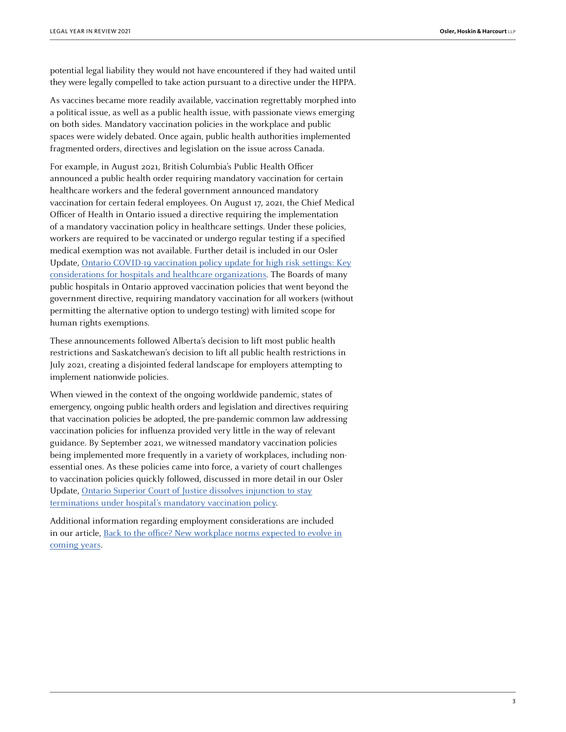potential legal liability they would not have encountered if they had waited until they were legally compelled to take action pursuant to a directive under the HPPA.

As vaccines became more readily available, vaccination regrettably morphed into a political issue, as well as a public health issue, with passionate views emerging on both sides. Mandatory vaccination policies in the workplace and public spaces were widely debated. Once again, public health authorities implemented fragmented orders, directives and legislation on the issue across Canada.

For example, in August 2021, British Columbia's Public Health Officer announced a public health order requiring mandatory vaccination for certain healthcare workers and the federal government announced mandatory vaccination for certain federal employees. On August 17, 2021, the Chief Medical Officer of Health in Ontario issued a directive requiring the implementation of a mandatory vaccination policy in healthcare settings. Under these policies, workers are required to be vaccinated or undergo regular testing if a specified medical exemption was not available. Further detail is included in our Osler Update, [Ontario COVID-19 vaccination policy update for high risk settings: Key](https://www.osler.com/en/resources/regulations/2021/ontario-covid-19-vaccination-policy-update-for-high-risk-settings-key-considerations-for-hospitals) [considerations for hospitals and healthcare organizations](https://www.osler.com/en/resources/regulations/2021/ontario-covid-19-vaccination-policy-update-for-high-risk-settings-key-considerations-for-hospitals). The Boards of many public hospitals in Ontario approved vaccination policies that went beyond the government directive, requiring mandatory vaccination for all workers (without permitting the alternative option to undergo testing) with limited scope for human rights exemptions.

These announcements followed Alberta's decision to lift most public health restrictions and Saskatchewan's decision to lift all public health restrictions in July 2021, creating a disjointed federal landscape for employers attempting to implement nationwide policies.

When viewed in the context of the ongoing worldwide pandemic, states of emergency, ongoing public health orders and legislation and directives requiring that vaccination policies be adopted, the pre-pandemic common law addressing vaccination policies for influenza provided very little in the way of relevant guidance. By September 2021, we witnessed mandatory vaccination policies being implemented more frequently in a variety of workplaces, including nonessential ones. As these policies came into force, a variety of court challenges to vaccination policies quickly followed, discussed in more detail in our Osler Update, [Ontario Superior Court of Justice dissolves injunction to stay](https://www.osler.com/en/resources/regulations/2021/ontario-superior-court-of-justice-dissolves-injunction-to-stay-terminations-under-hospital-s-mandato) [terminations under hospital's mandatory vaccination policy.](https://www.osler.com/en/resources/regulations/2021/ontario-superior-court-of-justice-dissolves-injunction-to-stay-terminations-under-hospital-s-mandato)

Additional information regarding employment considerations are included in our article, [Back to the office? New workplace norms expected to evolve in](https://legalyearinreview.ca/back-to-the-office-new-workplace-norms-expected-to-evolve-in-coming-years/) [coming years.](https://legalyearinreview.ca/back-to-the-office-new-workplace-norms-expected-to-evolve-in-coming-years/)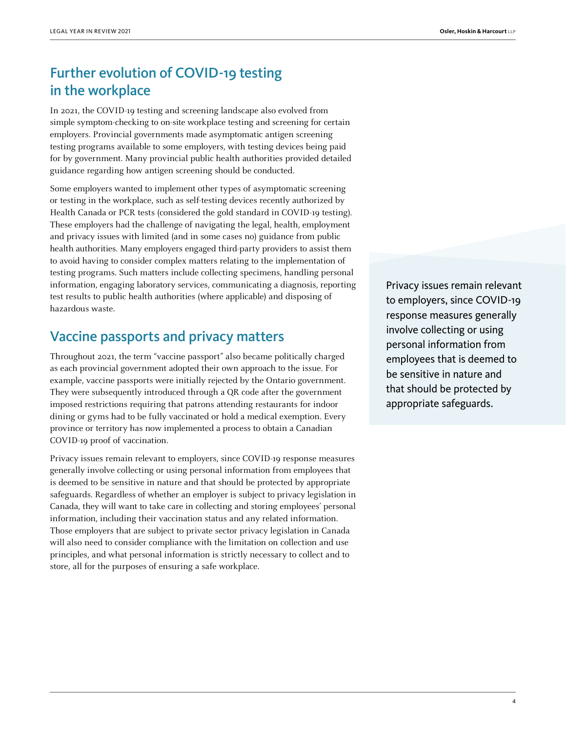## Further evolution of COVID-19 testing in the workplace

In 2021, the COVID-19 testing and screening landscape also evolved from simple symptom-checking to on-site workplace testing and screening for certain employers. Provincial governments made asymptomatic antigen screening testing programs available to some employers, with testing devices being paid for by government. Many provincial public health authorities provided detailed guidance regarding how antigen screening should be conducted.

Some employers wanted to implement other types of asymptomatic screening or testing in the workplace, such as self-testing devices recently authorized by Health Canada or PCR tests (considered the gold standard in COVID-19 testing). These employers had the challenge of navigating the legal, health, employment and privacy issues with limited (and in some cases no) guidance from public health authorities. Many employers engaged third-party providers to assist them to avoid having to consider complex matters relating to the implementation of testing programs. Such matters include collecting specimens, handling personal information, engaging laboratory services, communicating a diagnosis, reporting test results to public health authorities (where applicable) and disposing of hazardous waste.

### Vaccine passports and privacy matters

Throughout 2021, the term "vaccine passport" also became politically charged as each provincial government adopted their own approach to the issue. For example, vaccine passports were initially rejected by the Ontario government. They were subsequently introduced through a QR code after the government imposed restrictions requiring that patrons attending restaurants for indoor dining or gyms had to be fully vaccinated or hold a medical exemption. Every province or territory has now implemented a process to obtain a Canadian COVID-19 proof of vaccination.

Privacy issues remain relevant to employers, since COVID-19 response measures generally involve collecting or using personal information from employees that is deemed to be sensitive in nature and that should be protected by appropriate safeguards. Regardless of whether an employer is subject to privacy legislation in Canada, they will want to take care in collecting and storing employees' personal information, including their vaccination status and any related information. Those employers that are subject to private sector privacy legislation in Canada will also need to consider compliance with the limitation on collection and use principles, and what personal information is strictly necessary to collect and to store, all for the purposes of ensuring a safe workplace.

Privacy issues remain relevant to employers, since COVID-19 response measures generally involve collecting or using personal information from employees that is deemed to be sensitive in nature and that should be protected by appropriate safeguards.